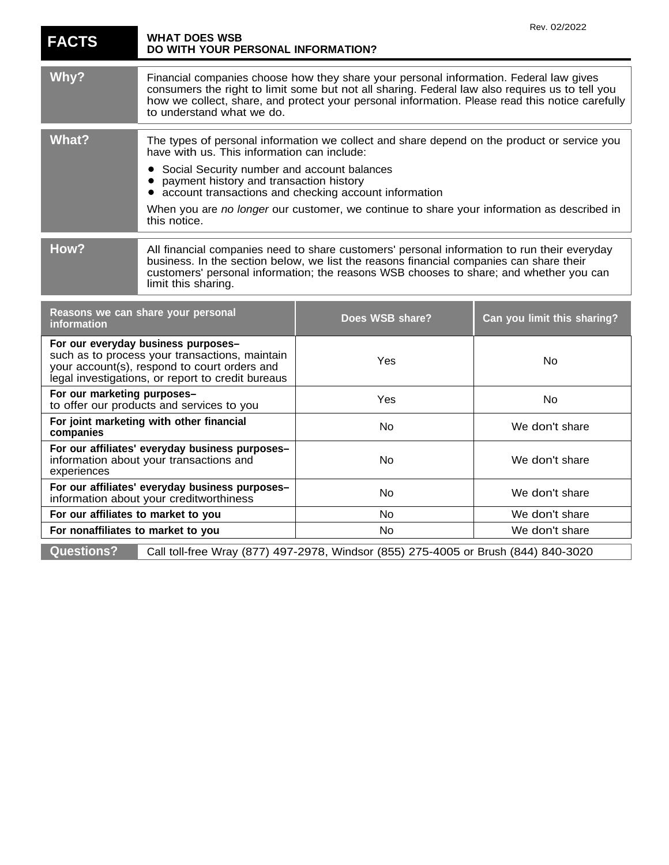| <b>FACTS</b>                                                                                                                                                                               | <b>WHAT DOES WSB</b><br>DO WITH YOUR PERSONAL INFORMATION?                                                                                                                                                                                                                                                                |                                                                                            | Rev. 02/2022                |
|--------------------------------------------------------------------------------------------------------------------------------------------------------------------------------------------|---------------------------------------------------------------------------------------------------------------------------------------------------------------------------------------------------------------------------------------------------------------------------------------------------------------------------|--------------------------------------------------------------------------------------------|-----------------------------|
| Why?                                                                                                                                                                                       | Financial companies choose how they share your personal information. Federal law gives<br>consumers the right to limit some but not all sharing. Federal law also requires us to tell you<br>how we collect, share, and protect your personal information. Please read this notice carefully<br>to understand what we do. |                                                                                            |                             |
| <b>What?</b>                                                                                                                                                                               | The types of personal information we collect and share depend on the product or service you<br>have with us. This information can include:                                                                                                                                                                                |                                                                                            |                             |
|                                                                                                                                                                                            | Social Security number and account balances<br>payment history and transaction history                                                                                                                                                                                                                                    | account transactions and checking account information                                      |                             |
|                                                                                                                                                                                            | this notice.                                                                                                                                                                                                                                                                                                              | When you are no longer our customer, we continue to share your information as described in |                             |
| How?                                                                                                                                                                                       | All financial companies need to share customers' personal information to run their everyday<br>business. In the section below, we list the reasons financial companies can share their<br>customers' personal information; the reasons WSB chooses to share; and whether you can<br>limit this sharing.                   |                                                                                            |                             |
| Reasons we can share your personal<br>information                                                                                                                                          |                                                                                                                                                                                                                                                                                                                           | Does WSB share?                                                                            | Can you limit this sharing? |
| For our everyday business purposes-<br>such as to process your transactions, maintain<br>your account(s), respond to court orders and<br>legal investigations, or report to credit bureaus |                                                                                                                                                                                                                                                                                                                           | Yes                                                                                        | No                          |
| For our marketing purposes-<br>to offer our products and services to you                                                                                                                   |                                                                                                                                                                                                                                                                                                                           | Yes                                                                                        | No                          |
| For joint marketing with other financial<br>companies                                                                                                                                      |                                                                                                                                                                                                                                                                                                                           | No.                                                                                        | We don't share              |
| For our affiliates' everyday business purposes-<br>information about your transactions and<br>experiences                                                                                  |                                                                                                                                                                                                                                                                                                                           | No                                                                                         | We don't share              |
| For our affiliates' everyday business purposes-<br>information about your creditworthiness                                                                                                 |                                                                                                                                                                                                                                                                                                                           | <b>No</b>                                                                                  | We don't share              |
| For our affiliates to market to you                                                                                                                                                        |                                                                                                                                                                                                                                                                                                                           | No                                                                                         | We don't share              |
| For nonaffiliates to market to you                                                                                                                                                         |                                                                                                                                                                                                                                                                                                                           | No                                                                                         | We don't share              |
| <b>Questions?</b>                                                                                                                                                                          |                                                                                                                                                                                                                                                                                                                           | Call toll-free Wray (877) 497-2978, Windsor (855) 275-4005 or Brush (844) 840-3020         |                             |